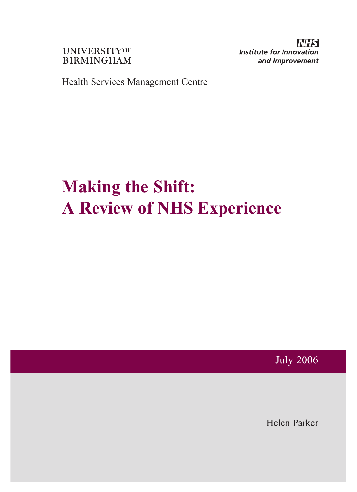**UNIVERSITYOF BIRMINGHAM**  **Institute for Innovation** and Improvement

Health Services Management Centre

# **Making the Shift: A Review of NHS Experience**

July 2006

Helen Parker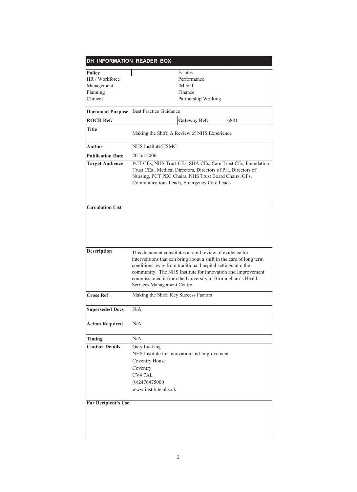# **DH INFORMATION READER BOX**

| <b>Policy</b>   | Estates             |
|-----------------|---------------------|
| HR / Workforce  | Performance         |
| Management      | IM & T              |
| Planning        | Finance             |
| <b>Clinical</b> | Partnership Working |

|                            | <b>Document Purpose</b> Best Practice Guidance                                                                                                                                                                                                                                                                                                             |  |  |
|----------------------------|------------------------------------------------------------------------------------------------------------------------------------------------------------------------------------------------------------------------------------------------------------------------------------------------------------------------------------------------------------|--|--|
| <b>ROCR Ref:</b>           | <b>Gateway Ref:</b><br>6881                                                                                                                                                                                                                                                                                                                                |  |  |
| Title                      | Making the Shift: A Review of NHS Experience                                                                                                                                                                                                                                                                                                               |  |  |
| Author                     | NHS Institute/HSMC                                                                                                                                                                                                                                                                                                                                         |  |  |
| <b>Publication Date</b>    | 20 Jul 2006                                                                                                                                                                                                                                                                                                                                                |  |  |
| <b>Target Audience</b>     | PCT CEs, NHS Trust CEs, SHA CEs, Care Trust CEs, Foundation<br>Trust CEs, Medical Directors, Directors of PH, Directors of<br>Nursing, PCT PEC Chairs, NHS Trust Board Chairs, GPs,<br>Communications Leads, Emergency Care Leads                                                                                                                          |  |  |
| <b>Circulation List</b>    |                                                                                                                                                                                                                                                                                                                                                            |  |  |
| <b>Description</b>         | This document constitutes a rapid review of evidence for<br>interventions that can bring about a shift in the care of long term<br>conditions away from traditional hospital settings into the<br>community. The NHS Institute for Innovation and Improvement<br>commissioned it from the University of Birmingham's Health<br>Services Management Centre. |  |  |
| <b>Cross Ref</b>           | Making the Shift: Key Success Factors                                                                                                                                                                                                                                                                                                                      |  |  |
| <b>Superseded Docs</b>     | N/A                                                                                                                                                                                                                                                                                                                                                        |  |  |
| <b>Action Required</b>     | N/A                                                                                                                                                                                                                                                                                                                                                        |  |  |
| <b>Timing</b>              | N/A                                                                                                                                                                                                                                                                                                                                                        |  |  |
| <b>Contact Details</b>     | Gary Lucking<br>NHS Institute for Innovation and Improvement<br>Coventry House<br>Coventry<br>CV47AL<br>$(0)$ 2476475000<br>www.institute.nhs.uk                                                                                                                                                                                                           |  |  |
| <b>For Recipient's Use</b> |                                                                                                                                                                                                                                                                                                                                                            |  |  |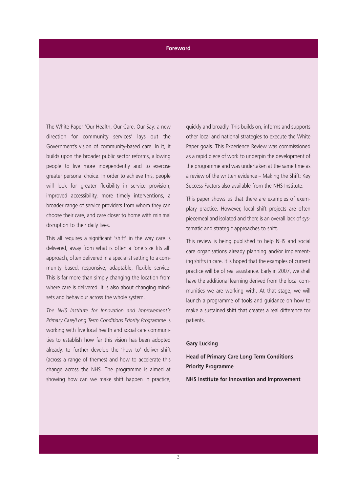# **Foreword**

The White Paper 'Our Health, Our Care, Our Say: a new direction for community services' lays out the Government's vision of community-based care. In it, it builds upon the broader public sector reforms, allowing people to live more independently and to exercise greater personal choice. In order to achieve this, people will look for greater flexibility in service provision, improved accessibility, more timely interventions, a broader range of service providers from whom they can choose their care, and care closer to home with minimal disruption to their daily lives.

This all requires a significant 'shift' in the way care is delivered, away from what is often a 'one size fits all' approach, often delivered in a specialist setting to a community based, responsive, adaptable, flexible service. This is far more than simply changing the location from where care is delivered. It is also about changing mindsets and behaviour across the whole system.

*The NHS Institute for Innovation and Improvement's Primary Care/Long Term Conditions Priority Programme* is working with five local health and social care communities to establish how far this vision has been adopted already, to further develop the 'how to' deliver shift (across a range of themes) and how to accelerate this change across the NHS. The programme is aimed at showing how can we make shift happen in practice,

quickly and broadly. This builds on, informs and supports other local and national strategies to execute the White Paper goals. This Experience Review was commissioned as a rapid piece of work to underpin the development of the programme and was undertaken at the same time as a review of the written evidence – Making the Shift: Key Success Factors also available from the NHS Institute.

This paper shows us that there are examples of exemplary practice. However, local shift projects are often piecemeal and isolated and there is an overall lack of systematic and strategic approaches to shift.

This review is being published to help NHS and social care organisations already planning and/or implementing shifts in care. It is hoped that the examples of current practice will be of real assistance. Early in 2007, we shall have the additional learning derived from the local communities we are working with. At that stage, we will launch a programme of tools and guidance on how to make a sustained shift that creates a real difference for patients.

# **Gary Lucking**

**Head of Primary Care Long Term Conditions Priority Programme**

**NHS Institute for Innovation and Improvement**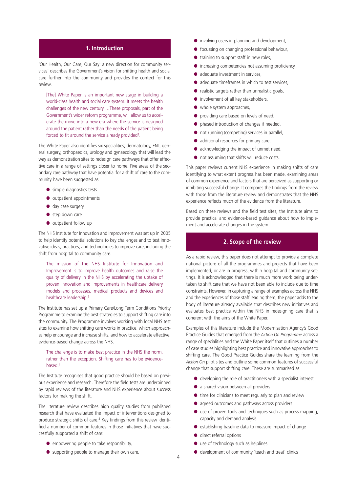#### **1. Introduction Introduction**

'Our Health, Our Care, Our Say: a new direction for community services' describes the Government's vision for shifting health and social care further into the community and provides the context for this review.

[The] White Paper is an important new stage in building a world-class health and social care system. It meets the health challenges of the new century …These proposals, part of the Government's wider reform programme, will allow us to accelerate the move into a new era where the service is designed around the patient rather than the needs of the patient being forced to fit around the service already provided<sup>1</sup>.

The White Paper also identifies six specialities; dermatology, ENT, general surgery, orthopaedics, urology and gynaecology that will lead the way as demonstration sites to redesign care pathways that offer effective care in a range of settings closer to home. Five areas of the secondary care pathway that have potential for a shift of care to the community have been suggested as

- simple diagnostics tests
- outpatient appointments
- day case surgery
- step down care
- outpatient follow up

The NHS Institute for Innovation and Improvement was set up in 2005 to help identify potential solutions to key challenges and to test innovative ideas, practices, and technologies to improve care, including the shift from hospital to community care.

The mission of the NHS Institute for Innovation and Improvement is to improve health outcomes and raise the quality of delivery in the NHS by accelerating the uptake of proven innovation and improvements in healthcare delivery models and processes, medical products and devices and healthcare leadership.<sup>2</sup>

The Institute has set up a Primary Care/Long Term Conditions Priority Programme to examine the best strategies to support shifting care into the community. The Programme involves working with local NHS test sites to examine how shifting care works in practice, which approaches help encourage and increase shifts, and how to accelerate effective, evidence-based change across the NHS.

#### The challenge is to make best practice in the NHS the norm, rather than the exception. Shifting care has to be evidencebased.<sup>3</sup>

The Institute recognises that good practice should be based on previous experience and research. Therefore the field tests are underpinned by rapid reviews of the literature and NHS experience about success factors for making the shift.

The literature review describes high quality studies from published research that have evaluated the impact of interventions designed to produce strategic shifts of care.<sup>4</sup> Key findings from this review identified a number of common features in those initiatives that have successfully supported a shift of care:

- empowering people to take responsibility,
- supporting people to manage their own care,
- involving users in planning and development,
- focussing on changing professional behaviour,
- training to support staff in new roles,
- increasing competencies not assuming proficiency,
- adequate investment in services.
- adequate timeframes in which to test services,
- realistic targets rather than unrealistic goals,
- involvement of all key stakeholders,
- whole system approaches,
- providing care based on levels of need,
- phased introduction of changes if needed,
- not running (competing) services in parallel,
- additional resources for primary care,
- acknowledging the impact of unmet need,
- not assuming that shifts will reduce costs.

This paper reviews current NHS experience in making shifts of care identifying to what extent progress has been made, examining areas of common experience and factors that are perceived as supporting or inhibiting successful change. It compares the findings from the review with those from the literature review and demonstrates that the NHS experience reflects much of the evidence from the literature.

Based on these reviews and the field test sites, the Institute aims to provide practical and evidence-based guidance about how to implement and accelerate changes in the system.

#### **2. Scope of the review 2. Scope of the review**

As a rapid review, this paper does not attempt to provide a complete national picture of all the programmes and projects that have been implemented, or are in progress, within hospital and community settings. It is acknowledged that there is much more work being undertaken to shift care that we have not been able to include due to time constraints. However, in capturing a range of examples across the NHS and the experiences of those staff leading them, the paper adds to the body of literature already available that describes new initiatives and evaluates best practice within the NHS in redesigning care that is coherent with the aims of the White Paper.

Examples of this literature include the Modernisation Agency's Good Practice Guides that emerged from the *Action On Programme* across a range of specialities and the White Paper itself that outlines a number of case studies highlighting best practice and innovative approaches to shifting care. The Good Practice Guides share the learning from the *Action On* pilot sites and outline some common features of successful change that support shifting care. These are summarised as:

- developing the role of practitioners with a specialist interest
- a shared vision between all providers
- time for clinicians to meet regularly to plan and review
- agreed outcomes and pathways across providers
- use of proven tools and techniques such as process mapping, capacity and demand analysis
- establishing baseline data to measure impact of change
- direct referral options
- use of technology such as helplines
- development of community 'teach and treat' clinics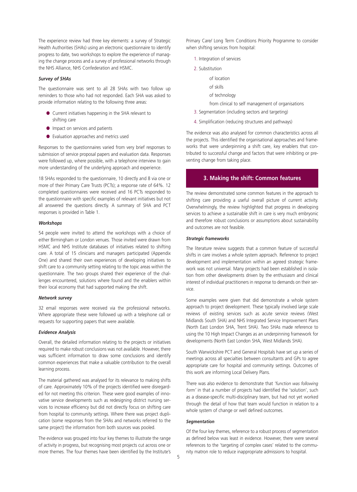The experience review had three key elements: a survey of Strategic Health Authorities (SHAs) using an electronic questionnaire to identify progress to date, two workshops to explore the experience of managing the change process and a survey of professional networks through the NHS Alliance, NHS Confederation and HSMC.

#### *Survey of SHAs*

The questionnaire was sent to all 28 SHAs with two follow up reminders to those who had not responded. Each SHA was asked to provide information relating to the following three areas:

- Current initiatives happening in the SHA relevant to shifting care
- **•** Impact on services and patients
- Evaluation approaches and metrics used

Responses to the questionnaires varied from very brief responses to submission of service proposal papers and evaluation data. Responses were followed up, where possible, with a telephone interview to gain more understanding of the underlying approach and experience.

18 SHAs responded to the questionnaire, 10 directly and 8 via one or more of their Primary Care Trusts (PCTs); a response rate of 64%. 12 completed questionnaires were received and 16 PCTs responded to the questionnaire with specific examples of relevant initiatives but not all answered the questions directly. A summary of SHA and PCT responses is provided in Table 1.

#### *Workshops*

54 people were invited to attend the workshops with a choice of either Birmingham or London venues. Those invited were drawn from HSMC and NHS Institute databases of initiatives related to shifting care. A total of 15 clinicians and managers participated (Appendix One) and shared their own experiences of developing initiatives to shift care to a community setting relating to the topic areas within the questionnaire. The two groups shared their experience of the challenges encountered, solutions where found and the enablers within their local economy that had supported making the shift.

#### *Network survey*

32 email responses were received via the professional networks. Where appropriate these were followed up with a telephone call or requests for supporting papers that were available.

#### *Evidence Analysis*

Overall, the detailed information relating to the projects or initiatives required to make robust conclusions was not available. However, there was sufficient information to draw some conclusions and identify common experiences that make a valuable contribution to the overall learning process.

The material gathered was analysed for its relevance to making shifts of care. Approximately 10% of the projects identified were disregarded for not meeting this criterion. These were good examples of innovative service developments such as redesigning district nursing services to increase efficiency but did not directly focus on shifting care from hospital to community settings. Where there was project duplication (some responses from the SHAs and networks referred to the same project) the information from both sources was pooled.

The evidence was grouped into four key themes to illustrate the range of activity in progress, but recognising most projects cut across one or more themes. The four themes have been identified by the Institute's Primary Care/ Long Term Conditions Priority Programme to consider when shifting services from hospital:

- 1. Integration of services
- 2. Substitution
	- of location
	- of skills
	- of technology

from clinical to self management of organisations

- 3. Segmentation (including sectors and targeting)
- 4. Simplification (reducing structures and pathways)

The evidence was also analysed for common characteristics across all the projects. This identified the organisational approaches and frameworks that were underpinning a shift care, key enablers that contributed to successful change and factors that were inhibiting or preventing change from taking place.

#### **3. Making the shift: Common features 3. Making the shift: Common features**

The review demonstrated some common features in the approach to shifting care providing a useful overall picture of current activity. Overwhelmingly, the review highlighted that progress in developing services to achieve a sustainable shift in care is very much embryonic and therefore robust conclusions or assumptions about sustainability and outcomes are not feasible.

#### *Strategic frameworks*

The literature review suggests that a common feature of successful shifts in care involves a whole system approach. Reference to project development and implementation within an agreed strategic framework was not universal. Many projects had been established in isolation from other developments driven by the enthusiasm and clinical interest of individual practitioners in response to demands on their service.

Some examples were given that did demonstrate a whole system approach to project development. These typically involved large scale reviews of existing services such as acute service reviews (West Midlands South SHA) and NHS Integrated Service Improvement Plans (North East London SHA, Trent SHA). Two SHAs made reference to using the 10 High Impact Changes as an underpinning framework for developments (North East London SHA, West Midlands SHA).

South Warwickshire PCT and General Hospitals have set up a series of meetings across all specialties between consultants and GPs to agree appropriate care for hospital and community settings. Outcomes of this work are informing Local Delivery Plans.

There was also evidence to demonstrate that *'function was following form'* in that a number of projects had identified the 'solution', such as a disease-specific multi-disciplinary team, but had not yet worked through the detail of how that team would function in relation to a whole system of change or well defined outcomes.

#### *Segmentation*

Of the four key themes, reference to a robust process of segmentation as defined below was least in evidence. However, there were several references to the 'targeting of complex cases' related to the community matron role to reduce inappropriate admissions to hospital.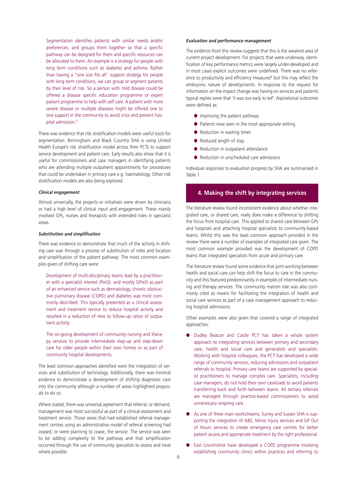Segmentation identifies patients with similar needs and/or preferences, and groups them together so that a specific pathway can be designed for them and specific resources can be allocated to them. An example is a strategy for people with long term conditions such as diabetes and asthma. Rather than having a "one size fits all" support strategy for people with long term conditions, we can group or segment patients by their level of risk. So a person with mild disease could be offered a disease specific education programme or expert patient programme to help with self care. A patient with more severe disease or multiple diseases might be offered one to one support in the community to avoid crisis and prevent hospital admission.<sup>5</sup>

There was evidence that risk stratification models were useful tools for segmentation. Birmingham and Black Country SHA is using United Health Europe's risk stratification model across their PCTs to support service development and patient care. Early results also show that it is useful for commissioners and case managers in identifying patients who are attending multiple outpatient appointments for procedures that could be undertaken in primary care e.g. haematology. Other risk stratification models are also being explored.

#### *Clinical engagement*

Almost universally, the projects or initiatives were driven by clinicians or had a high level of clinical input and engagement. These mainly involved GPs, nurses and therapists with extended roles in specialist areas.

#### *Substitution and simplification*

There was evidence to demonstrate that much of the activity in shifting care was through a process of substitution of roles and location and simplification of the patient pathway: The most common examples given of shifting care were:

Development of multi-disciplinary teams lead by a practitioner with a specialist interest (PwSI). and mostly GPwSI as part of an enhanced service such as dermatology, chronic obstructive pulmonary disease (COPD) and diabetes was most commonly described. This typically presented as a clinical assessment and treatment service to reduce hospital activity and resulted in a reduction of new to follow-up ratios of outpatient activity.

The on-going development of community nursing and therapy services to provide intermediate step-up and step-down care for older people within their own homes or as part of community hospital developments.

The least common approaches identified were the integration of services and substitution of technology. Additionally, there was minimal evidence to demonstrate a development of shifting diagnostic care into the community although a number of areas highlighted proposals to do so.

Where stated, there was universal agreement that referral, or demand, management was most successful as part of a clinical assessment and treatment service. Those areas that had established referral management centres using an administrative model of referral screening had ceased, or were planning to cease, the service. The service was seen to be adding complexity to the pathway and that simplification occurred through the use of community specialists to assess and treat where possible.

#### *Evaluation and performance management*

The evidence from this review suggests that this is the weakest area of current project development. For projects that were underway, identification of key performance metrics were largely under-developed and in most cases explicit outcomes were undefined. There was no reference to productivity and efficiency measures<sup>6</sup> but this may reflect the embryonic nature of developments. In response to the request for information on the impact change was having on services and patients typical replies were that *'it was too early to tell'*. Aspirational outcomes were defined as:

- Improving the patient pathway
- Patients now seen in the most appropriate setting
- Reduction in waiting times
- Reduced length of stay
- Reduction in outpatient attendance
- Reduction in unscheduled care admissions

Individual responses to evaluation progress by SHA are summarised in Table 1.

### **4.Making the shift by integrating services 4. Making the shift by integrating services**

The literature review found inconsistent evidence about whether integrated care, or shared care, really does make a difference to shifting the focus from hospital care. This applied to shared care between GPs and hospitals and attaching hospital specialists to community-based teams. Whilst this was the least common approach provided in the review there were a number of examples of integrated care given. The most common example provided was the development of COPD teams that integrated specialists from acute and primary care.

The literature review found some evidence that joint working between health and social care can help shift the focus to care in the community and this featured predominantly in examples of intermediate nursing and therapy services. The community matron role was also commonly cited as means for facilitating the integration of health and social care services as part of a case management approach to reducing hospital admissions.

Other examples were also given that covered a range of integrated approaches:

- Dudley Beacon and Castle PCT has taken a whole system approach to integrating services between primary and secondary care, health and social care and generalists and specialists. Working with hospital colleagues, the PCT has developed a wide range of community services, reducing admissions and outpatient referrals to hospital. Primary care teams are supported by specialist practitioners to manage complex care. Specialists, including case managers, do not hold their own caseloads to avoid patients transferring back and forth between teams. All tertiary referrals are managed through practice-based commissioners to avoid unnecessary ongoing care.
- As one of three main workstreams, Surrey and Sussex SHA is supporting the integration of A&E, Minor Injury services and GP Out of Hours services to create emergency care centres for better patient access and appropriate treatment by the right professional.
- East Lincolnshire have developed a COPD programme involving establishing community clinics within practices and referring to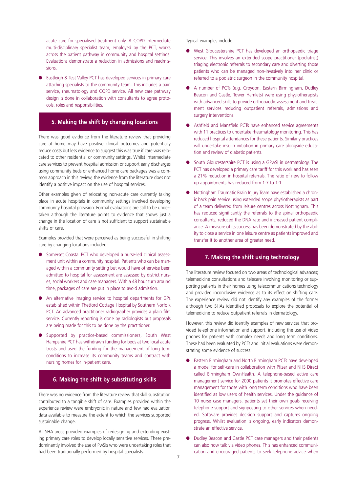acute care for specialised treatment only. A COPD intermediate multi-disciplinary specialist team, employed by the PCT, works across the patient pathway in community and hospital settings. Evaluations demonstrate a reduction in admissions and readmissions.

● Eastleigh & Test Valley PCT has developed services in primary care attaching specialists to the community team. This includes a pain service, rheumatology and COPD service. All new care pathway design is done in collaboration with consultants to agree protocols, roles and responsibilities.

# **5. Making the shift by changing locations 5. Making the shift by changing locations**

There was good evidence from the literature review that providing care at home may have positive clinical outcomes and potentially reduce costs but less evidence to suggest this was true if care was relocated to other residential or community settings. Whilst intermediate care services to prevent hospital admission or support early discharges using community beds or enhanced home care packages was a common approach in this review, the evidence from the literature does not identify a positive impact on the use of hospital services.

Other examples given of relocating non-acute care currently taking place in acute hospitals in community settings involved developing community hospital provision. Formal evaluations are still to be undertaken although the literature points to evidence that shows just a change in the location of care is not sufficient to support sustainable shifts of care.

Examples provided that were perceived as being successful in shifting care by changing locations included:

- Somerset Coastal PCT who developed a nurse-led clinical assessment unit within a community hospital. Patients who can be managed within a community setting but would have otherwise been admitted to hospital for assessment are assessed by district nurses, social workers and case managers. With a 48 hour turn around time, packages of care are put in place to avoid admission.
- An alternative imaging service to hospital departments for GPs established within Thetford Cottage Hospital by Southern Norfolk PCT. An advanced practitioner radiographer provides a plain film service. Currently reporting is done by radiologists but proposals are being made for this to be done by the practitioner.
- Supported by practice-based commissioners, South West Hampshire PCT has withdrawn funding for beds at two local acute trusts and used the funding for the management of long term conditions to increase its community teams and contract with nursing homes for in-patient care.

# **6. Making the shift by substituting skills 6. Making the shift by substituting skills**

There was no evidence from the literature review that skill substitution contributed to a tangible shift of care. Examples provided within the experience review were embryonic in nature and few had evaluation data available to measure the extent to which the services supported sustainable change.

All SHA areas provided examples of redesigning and extending existing primary care roles to develop locally sensitive services. These predominantly involved the use of PwSIs who were undertaking roles that had been traditionally performed by hospital specialists.

Typical examples include:

- West Gloucestershire PCT has developed an orthopaedic triage service. This involves an extended scope practitioner (podiatrist) triaging electronic referrals to secondary care and diverting those patients who can be managed non-invasively into her clinic or referred to a podiatric surgeon in the community hospital.
- A number of PCTs (e.g. Croydon, Eastern Birmingham, Dudley Beacon and Castle, Tower Hamlets) were using physiotherapists with advanced skills to provide orthopaedic assessment and treatment services reducing outpatient referrals, admissions and surgery interventions.
- Ashfield and Mansfield PCTs have enhanced service agreements with 11 practices to undertake rheumatology monitoring. This has reduced hospital attendances for these patients. Similarly practices will undertake insulin initiation in primary care alongside education and review of diabetic patients.
- South Gloucestershire PCT is using a GPwSI in dermatology. The PCT has developed a primary care tariff for this work and has seen a 21% reduction in hospital referrals. The ratio of new to follow up appointments has reduced from 1:7 to 1:1.
- Nottingham Traumatic Brain Injury Team have established a chronic back pain service using extended scope physiotherapists as part of a team delivered from leisure centres across Nottingham. This has reduced significantly the referrals to the spinal orthopaedic consultants, reduced the DNA rate and increased patient compliance. A measure of its success has been demonstrated by the ability to close a service in one leisure centre as patients improved and transfer it to another area of greater need.

# **7. Making the shift using technology 7. Making the shift using technology**

The literature review focused on two areas of technological advances; telemedicine consultations and telecare involving monitoring or supporting patients in their homes using telecommunications technology and provided inconclusive evidence as to its effect on shifting care. The experience review did not identify any examples of the former although two SHAs identified proposals to explore the potential of telemedicine to reduce outpatient referrals in dermatology.

However, this review did identify examples of new services that provided telephone information and support, including the use of video phones for patients with complex needs and long term conditions. These had been evaluated by PCTs and initial evaluations were demonstrating some evidence of success.

- Eastern Birmingham and North Birmingham PCTs have developed a model for self-care in collaboration with Pfizer and NHS Direct called Birmingham OwnHealth. A telephone-based active care management service for 2000 patients it promotes effective care management for those with long term conditions who have been identified as low users of health services. Under the guidance of 10 nurse case managers, patients set their own goals receiving telephone support and signposting to other services when needed. Software provides decision support and captures ongoing progress. Whilst evaluation is ongoing, early indicators demonstrate an effective service.
- Dudley Beacon and Castle PCT case managers and their patients can also now talk via video phones. This has enhanced communication and encouraged patients to seek telephone advice when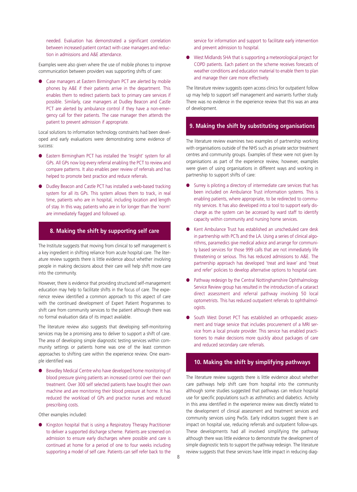needed. Evaluation has demonstrated a significant correlation between increased patient contact with case managers and reduction in admissions and A&E attendance.

Examples were also given where the use of mobile phones to improve communication between providers was supporting shifts of care:

● Case managers at Eastern Birmingham PCT are alerted by mobile phones by A&E if their patients arrive in the department. This enables them to redirect patients back to primary care services if possible. Similarly, case managers at Dudley Beacon and Castle PCT are alerted by ambulance control if they have a non-emergency call for their patients. The case manager then attends the patient to prevent admission if appropriate.

Local solutions to information technology constraints had been developed and early evaluations were demonstrating some evidence of success:

- Eastern Birmingham PCT has installed the 'Insight' system for all GPs. All GPs now log every referral enabling the PCT to review and compare patterns. It also enables peer review of referrals and has helped to promote best practice and reduce referrals.
- **Dudley Beacon and Castle PCT has installed a web-based tracking** system for all its GPs. This system allows them to track, in real time, patients who are in hospital, including location and length of stay. In this way, patients who are in for longer than the 'norm' are immediately flagged and followed up.

# **8. Making the shift by supporting self care care**

The Institute suggests that moving from clinical to self management is a key ingredient in shifting reliance from acute hospital care. The literature review suggests there is little evidence about whether involving people in making decisions about their care will help shift more care into the community.

However, there is evidence that providing structured self-management education may help to facilitate shifts in the focus of care. The experience review identified a common approach to this aspect of care with the continued development of Expert Patient Programmes to shift care from community services to the patient although there was no formal evaluation data of its impact available.

The literature review also suggests that developing self-monitoring services may be a promising area to deliver to support a shift of care. The area of developing simple diagnostic testing services within community settings or patients home was one of the least common approaches to shifting care within the experience review. One example identified was

Bewdley Medical Centre who have developed home monitoring of blood pressure giving patients an increased control over their own treatment. Over 300 self selected patients have bought their own machine and are monitoring their blood pressure at home. It has reduced the workload of GPs and practice nurses and reduced prescribing costs.

Other examples included:

● Kingston hospital that is using a Respiratory Therapy Practitioner to deliver a supported discharge scheme. Patients are screened on admission to ensure early discharges where possible and care is continued at home for a period of one to four weeks including supporting a model of self care. Patients can self refer back to the service for information and support to facilitate early intervention and prevent admission to hospital.

● West Midlands SHA that is supporting a meteorological project for COPD patients. Each patient on the scheme receives forecasts of weather conditions and education material to enable them to plan and manage their care more effectively.

The literature review suggests open access clinics for outpatient follow up may help to support self management and warrants further study. There was no evidence in the experience review that this was an area of development.

# **9. Making the shift by substituting organisations**

The literature review examines two examples of partnership working with organisations outside of the NHS such as private sector treatment centres and community groups. Examples of these were not given by organisations as part of the experience review, however, examples were given of using organisations in different ways and working in partnership to support shifts of care:

- Surrey is piloting a directory of intermediate care services that has been included on Ambulance Trust information systems. This is enabling patients, where appropriate, to be redirected to community services. It has also developed into a tool to support early discharge as the system can be accessed by ward staff to identify capacity within community and nursing home services.
- Kent Ambulance Trust has established an unscheduled care desk in partnership with PCTs and the LA. Using a series of clinical algorithms, paramedics give medical advice and arrange for community based services for those 999 calls that are not immediately life threatening or serious. This has reduced admissions to A&E. The partnership approach has developed 'treat and leave' and 'treat and refer' policies to develop alternative options to hospital care.
- Pathway redesign by the Central Nottinghamshire Ophthalmology Service Review group has resulted in the introduction of a cataract direct assessment and referral pathway involving 50 local optometrists. This has reduced outpatient referrals to ophthalmologists.
- South West Dorset PCT has established an orthopaedic assessment and triage service that includes procurement of a MRI service from a local private provider. This service has enabled practitioners to make decisions more quickly about packages of care and reduced secondary care referrals.

# **10. Making the shift by simplifying pathways pathways**

The literature review suggests there is little evidence about whether care pathways help shift care from hospital into the community although some studies suggested that pathways can reduce hospital use for specific populations such as asthmatics and diabetics. Activity in this area identified in the experience review was directly related to the development of clinical assessment and treatment services and community services using PwSIs. Early indicators suggest there is an impact on hospital use, reducing referrals and outpatient follow-ups. These developments had all involved simplifying the pathway although there was little evidence to demonstrate the development of simple diagnostic tests to support the pathway redesign. The literature review suggests that these services have little impact in reducing diag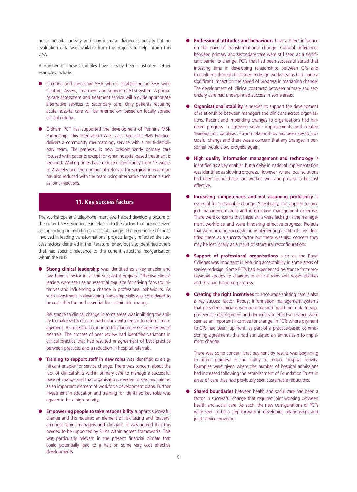nostic hospital activity and may increase diagnostic activity but no evaluation data was available from the projects to help inform this view.

A number of these examples have already been illustrated. Other examples include:

- Cumbria and Lancashire SHA who is establishing an SHA wide Capture, Assess, Treatment and Support (CATS) system. A primary care assessment and treatment service will provide appropriate alternative services to secondary care. Only patients requiring acute hospital care will be referred on, based on locally agreed clinical criteria.
- Oldham PCT has supported the development of Pennine MSK Partnership. This Integrated CATS, via a Specialist PMS Practice, delivers a community rheumatology service with a multi-disciplinary team. The pathway is now predominantly primary care focused with patients except for when hospital-based treatment is required. Waiting times have reduced significantly from 17 weeks to 2 weeks and the number of referrals for surgical intervention has also reduced with the team using alternative treatments such as joint injections.

#### **11. Key success factors**

The workshops and telephone interviews helped develop a picture of the current NHS experience in relation to the factors that are perceived as supporting or inhibiting successful change. The experience of those involved in leading transformational projects largely reflected the success factors identified in the literature review but also identified others that had specific relevance to the current structural reorganisation within the NHS.

**Strong clinical leadership** was identified as a key enabler and had been a factor in all the successful projects. Effective clinical leaders were seen as an essential requisite for driving forward initiatives and influencing a change in professional behaviours. As such investment in developing leadership skills was considered to be cost-effective and essential for sustainable change.

Resistance to clinical change in some areas was inhibiting the ability to make shifts of care, particularly with regard to referral management. A successful solution to this had been GP peer review of referrals. The process of peer review had identified variations in clinical practice that had resulted in agreement of best practice between practices and a reduction in hospital referrals.

- **Training to support staff in new roles** was identified as a significant enabler for service change. There was concern about the lack of clinical skills within primary care to manage a successful pace of change and that organisations needed to see this training as an important element of workforce development plans. Further investment in education and training for identified key roles was agreed to be a high priority.
- **Empowering people to take responsibility** supports successful change and this required an element of risk taking and 'bravery' amongst senior managers and clinicians. It was agreed that this needed to be supported by SHAs within agreed frameworks. This was particularly relevant in the present financial climate that could potentially lead to a halt on some very cost effective developments.
- **Professional attitudes and behaviours** have a direct influence on the pace of transformational change. Cultural differences between primary and secondary care were still seen as a significant barrier to change. PCTs that had been successful stated that investing time in developing relationships between GPs and Consultants through facilitated redesign workstreams had made a significant impact on the speed of progress in managing change. The development of 'clinical contracts' between primary and secondary care had underpinned success in some areas.
- **Organisational stability** is needed to support the development of relationships between managers and clinicians across organisations. Recent and impending changes to organisations had hindered progress in agreeing service improvements and created 'bureaucratic paralysis'. Strong relationships had been key to successful change and there was a concern that any changes in personnel would slow progress again.
- **High quality information management and technology** is identified as a key enabler, but a delay in national implementation was identified as slowing progress. However, where local solutions had been found these had worked well and proved to be cost effective.
- **Increasing competencies and not assuming proficiency** is essential for sustainable change. Specifically, this applied to project management skills and information management expertise. There were concerns that these skills were lacking in the management workforce and were hindering effective progress. Projects that were proving successful in implementing a shift of care identified these as a success factor but there was also concern they may be lost locally as a result of structural reconfigurations.
- **Support of professional organisations** such as the Royal Colleges was important in ensuring acceptability in some areas of service redesign. Some PCTs had experienced resistance from professional groups to changes in clinical roles and responsibilities and this had hindered progress.
- **Creating the right incentives** to encourage shifting care is also a key success factor. Robust information management systems that provided clinicians with accurate and 'real time' data to support service development and demonstrate effective change were seen as an important incentive for change. In PCTs where payment to GPs had been 'up front' as part of a practice-based commissioning agreement, this had stimulated an enthusiasm to implement change.

There was some concern that payment by results was beginning to affect progress in the ability to reduce hospital activity. Examples were given where the number of hospital admissions had increased following the establishment of Foundation Trusts in areas of care that had previously seen sustainable reductions.

**Shared boundaries** between health and social care had been a factor in successful change that required joint working between health and social care. As such, the new configurations of PCTs were seen to be a step forward in developing relationships and joint service provision.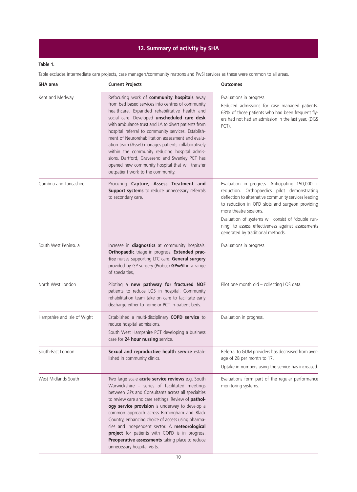# **12. Summary of activity by SHA**

# **Table 1.**

Table excludes intermediate care projects, case managers/community matrons and PwSI services as these were common to all areas.

| <b>SHA</b> area             | <b>Current Projects</b>                                                                                                                                                                                                                                                                                                                                                                                                                                                                                                                                                                                                  | <b>Outcomes</b>                                                                                                                                                                                                                                                                                                                                                                    |
|-----------------------------|--------------------------------------------------------------------------------------------------------------------------------------------------------------------------------------------------------------------------------------------------------------------------------------------------------------------------------------------------------------------------------------------------------------------------------------------------------------------------------------------------------------------------------------------------------------------------------------------------------------------------|------------------------------------------------------------------------------------------------------------------------------------------------------------------------------------------------------------------------------------------------------------------------------------------------------------------------------------------------------------------------------------|
| Kent and Medway             | Refocusing work of community hospitals away<br>from bed based services into centres of community<br>healthcare. Expanded rehabilitative health and<br>social care. Developed unscheduled care desk<br>with ambulance trust and LA to divert patients from<br>hospital referral to community services. Establish-<br>ment of Neurorehabilitation assessment and evalu-<br>ation team (Asset) manages patients collaboratively<br>within the community reducing hospital admis-<br>sions. Dartford, Gravesend and Swanley PCT has<br>opened new community hospital that will transfer<br>outpatient work to the community. | Evaluations in progress.<br>Reduced admissions for case managed patients.<br>63% of those patients who had been frequent fly-<br>ers had not had an admission in the last year. (DGS<br>PCT).                                                                                                                                                                                      |
| Cumbria and Lancashire      | Procuring Capture, Assess Treatment and<br>Support systems to reduce unnecessary referrals<br>to secondary care.                                                                                                                                                                                                                                                                                                                                                                                                                                                                                                         | Evaluation in progress. Anticipating 150,000 +<br>reduction. Orthopaedics pilot demonstrating<br>deflection to alternative community services leading<br>to reduction in OPD slots and surgeon providing<br>more theatre sessions.<br>Evaluation of systems will consist of 'double run-<br>ning' to assess effectiveness against assessments<br>generated by traditional methods. |
| South West Peninsula        | Increase in diagnostics at community hospitals.<br>Orthopaedic triage in progress. Extended prac-<br>tice nurses supporting LTC care. General surgery<br>provided by GP surgery (Probus) GPwSI in a range<br>of specialties,                                                                                                                                                                                                                                                                                                                                                                                             | Evaluations in progress.                                                                                                                                                                                                                                                                                                                                                           |
| North West London           | Piloting a new pathway for fractured NOF<br>patients to reduce LOS in hospital. Community<br>rehabilitation team take on care to facilitate early<br>discharge either to home or PCT in-patient beds.                                                                                                                                                                                                                                                                                                                                                                                                                    | Pilot one month old - collecting LOS data.                                                                                                                                                                                                                                                                                                                                         |
| Hampshire and Isle of Wight | Established a multi-disciplinary COPD service to<br>reduce hospital admissions.<br>South West Hampshire PCT developing a business<br>case for 24 hour nursing service.                                                                                                                                                                                                                                                                                                                                                                                                                                                   | Evaluation in progress.                                                                                                                                                                                                                                                                                                                                                            |
| South-East London           | Sexual and reproductive health service estab-<br>lished in community clinics.                                                                                                                                                                                                                                                                                                                                                                                                                                                                                                                                            | Referral to GUM providers has decreased from aver-<br>age of 28 per month to 17.<br>Uptake in numbers using the service has increased.                                                                                                                                                                                                                                             |
| West Midlands South         | Two large scale acute service reviews e.g. South<br>Warwickshire - series of facilitated meetings<br>between GPs and Consultants across all specialties<br>to review care and care settings. Review of pathol-<br>ogy service provision is underway to develop a<br>common approach across Birmingham and Black<br>Country, enhancing choice of access using pharma-<br>cies and independent sector. A meteorological<br>project for patients with COPD is in progress.<br>Preoperative assessments taking place to reduce<br>unnecessary hospital visits.                                                               | Evaluations form part of the regular performance<br>monitoring systems.                                                                                                                                                                                                                                                                                                            |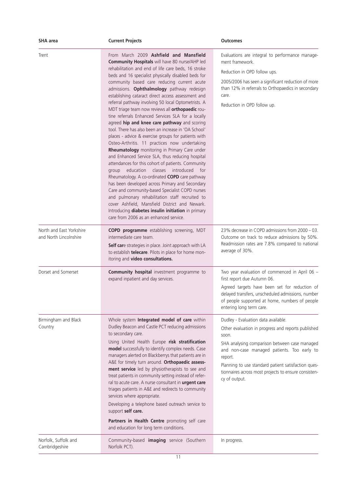| SHA area                                           | <b>Current Projects</b>                                                                                                                                                                                                                                                                                                                                                                                                                                                                                                                                                                                                                                                                                                                                                                                                                                                                                                                                                                                                                                                                                                                                                                                                                                                                                                  | <b>Outcomes</b>                                                                                                                                                                                                                                                                                                                               |
|----------------------------------------------------|--------------------------------------------------------------------------------------------------------------------------------------------------------------------------------------------------------------------------------------------------------------------------------------------------------------------------------------------------------------------------------------------------------------------------------------------------------------------------------------------------------------------------------------------------------------------------------------------------------------------------------------------------------------------------------------------------------------------------------------------------------------------------------------------------------------------------------------------------------------------------------------------------------------------------------------------------------------------------------------------------------------------------------------------------------------------------------------------------------------------------------------------------------------------------------------------------------------------------------------------------------------------------------------------------------------------------|-----------------------------------------------------------------------------------------------------------------------------------------------------------------------------------------------------------------------------------------------------------------------------------------------------------------------------------------------|
| Trent                                              | From March 2009 Ashfield and Mansfield<br>Community Hospitals will have 80 nurse/AHP led<br>rehabilitation and end of life care beds, 16 stroke<br>beds and 16 specialist physically disabled beds for<br>community based care reducing current acute<br>admissions. Ophthalmology pathway redesign<br>establishing cataract direct access assessment and<br>referral pathway involving 50 local Optometrists. A<br>MDT triage team now reviews all orthopaedic rou-<br>tine referrals Enhanced Services SLA for a locally<br>agreed hip and knee care pathway and scoring<br>tool. There has also been an increase in 'OA School'<br>places - advice & exercise groups for patients with<br>Osteo-Arthritis. 11 practices now undertaking<br>Rheumatology monitoring in Primary Care under<br>and Enhanced Service SLA, thus reducing hospital<br>attendances for this cohort of patients. Community<br>education<br>classes<br>introduced<br>for<br>group<br>Rheumatology. A co-ordinated COPD care pathway<br>has been developed across Primary and Secondary<br>Care and community-based Specialist COPD nurses<br>and pulmonary rehabilitation staff recruited to<br>cover Ashfield, Mansfield District and Newark.<br>Introducing diabetes insulin initiation in primary<br>care from 2006 as an enhanced service. | Evaluations are integral to performance manage-<br>ment framework.<br>Reduction in OPD follow ups.<br>2005/2006 has seen a significant reduction of more<br>than 12% in referrals to Orthopaedics in secondary<br>care.<br>Reduction in OPD follow up.                                                                                        |
| North and East Yorkshire<br>and North Lincolnshire | COPD programme establishing screening, MDT<br>intermediate care team.<br>Self care strategies in place. Joint approach with LA<br>to establish telecare. Pilots in place for home mon-<br>itoring and video consultations.                                                                                                                                                                                                                                                                                                                                                                                                                                                                                                                                                                                                                                                                                                                                                                                                                                                                                                                                                                                                                                                                                               | 23% decrease in COPD admissions from 2000 - 03.<br>Outcome on track to reduce admissions by 50%.<br>Readmission rates are 7.8% compared to national<br>average of 30%.                                                                                                                                                                        |
| Dorset and Somerset                                | <b>Community hospital</b> investment programme to<br>expand inpatient and day services.                                                                                                                                                                                                                                                                                                                                                                                                                                                                                                                                                                                                                                                                                                                                                                                                                                                                                                                                                                                                                                                                                                                                                                                                                                  | Two year evaluation of commenced in April 06 -<br>first report due Autumn 06.<br>Agreed targets have been set for reduction of<br>delayed transfers, unscheduled admissions, number<br>of people supported at home, numbers of people<br>entering long term care.                                                                             |
| Birmingham and Black<br>Country                    | Whole system Integrated model of care within<br>Dudley Beacon and Castle PCT reducing admissions<br>to secondary care.<br>Using United Health Europe risk stratification<br>model successfully to identify complex needs. Case<br>managers alerted on Blackberrys that patients are in<br>A&E for timely turn around. Orthopaedic assess-<br>ment service led by physiotherapists to see and<br>treat patients in community setting instead of refer-<br>ral to acute care. A nurse consultant in urgent care<br>triages patients in A&E and redirects to community<br>services where appropriate.<br>Developing a telephone based outreach service to<br>support self care.<br>Partners in Health Centre promoting self care<br>and education for long term conditions.                                                                                                                                                                                                                                                                                                                                                                                                                                                                                                                                                 | Dudley - Evaluation data available.<br>Other evaluation in progress and reports published<br>soon.<br>SHA analysing comparison between case managed<br>and non-case managed patients. Too early to<br>report.<br>Planning to use standard patient satisfaction ques-<br>tionnaires across most projects to ensure consisten-<br>cy of output. |
| Norfolk, Suffolk and<br>Cambridgeshire             | Community-based imaging service (Southern<br>Norfolk PCT).                                                                                                                                                                                                                                                                                                                                                                                                                                                                                                                                                                                                                                                                                                                                                                                                                                                                                                                                                                                                                                                                                                                                                                                                                                                               | In progress.                                                                                                                                                                                                                                                                                                                                  |